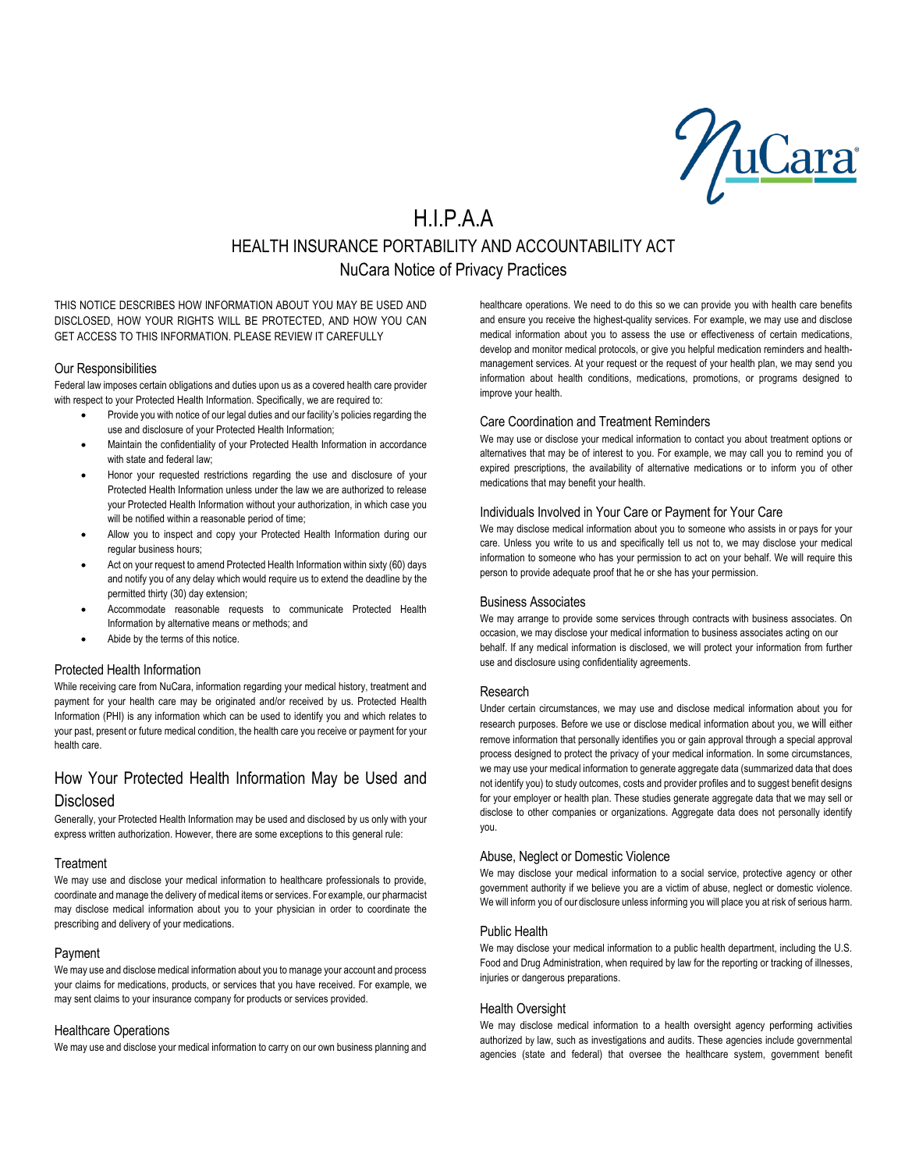<u>uCara</u>

# H.I.P.A.A HEALTH INSURANCE PORTABILITY AND ACCOUNTABILITY ACT NuCara Notice of Privacy Practices

THIS NOTICE DESCRIBES HOW INFORMATION ABOUT YOU MAY BE USED AND DISCLOSED, HOW YOUR RIGHTS WILL BE PROTECTED, AND HOW YOU CAN GET ACCESS TO THIS INFORMATION. PLEASE REVIEW IT CAREFULLY

#### Our Responsibilities

Federal law imposes certain obligations and duties upon us as a covered health care provider with respect to your Protected Health Information. Specifically, we are required to:

- Provide you with notice of our legal duties and our facility's policies regarding the use and disclosure of your Protected Health Information;
- Maintain the confidentiality of your Protected Health Information in accordance with state and federal law;
- Honor your requested restrictions regarding the use and disclosure of your Protected Health Information unless under the law we are authorized to release your Protected Health Information without your authorization, in which case you will be notified within a reasonable period of time;
- Allow you to inspect and copy your Protected Health Information during our regular business hours;
- Act on your request to amend Protected Health Information within sixty (60) days and notify you of any delay which would require us to extend the deadline by the permitted thirty (30) day extension;
- Accommodate reasonable requests to communicate Protected Health Information by alternative means or methods; and
- Abide by the terms of this notice.

# Protected Health Information

While receiving care from NuCara, information regarding your medical history, treatment and payment for your health care may be originated and/or received by us. Protected Health Information (PHI) is any information which can be used to identify you and which relates to your past, present or future medical condition, the health care you receive or payment for your health care.

# How Your Protected Health Information May be Used and Disclosed

Generally, your Protected Health Information may be used and disclosed by us only with your express written authorization. However, there are some exceptions to this general rule:

# **Treatment**

We may use and disclose your medical information to healthcare professionals to provide, coordinate and manage the delivery of medical items or services. For example, our pharmacist may disclose medical information about you to your physician in order to coordinate the prescribing and delivery of your medications.

# Payment

We may use and disclose medical information about you to manage your account and process your claims for medications, products, or services that you have received. For example, we may sent claims to your insurance company for products or services provided.

# Healthcare Operations

We may use and disclose your medical information to carry on our own business planning and

healthcare operations. We need to do this so we can provide you with health care benefits and ensure you receive the highest-quality services. For example, we may use and disclose medical information about you to assess the use or effectiveness of certain medications, develop and monitor medical protocols, or give you helpful medication reminders and healthmanagement services. At your request or the request of your health plan, we may send you information about health conditions, medications, promotions, or programs designed to improve your health.

# Care Coordination and Treatment Reminders

We may use or disclose your medical information to contact you about treatment options or alternatives that may be of interest to you. For example, we may call you to remind you of expired prescriptions, the availability of alternative medications or to inform you of other medications that may benefit your health.

# Individuals Involved in Your Care or Payment for Your Care

We may disclose medical information about you to someone who assists in or pays for your care. Unless you write to us and specifically tell us not to, we may disclose your medical information to someone who has your permission to act on your behalf. We will require this person to provide adequate proof that he or she has your permission.

# Business Associates

We may arrange to provide some services through contracts with business associates. On occasion, we may disclose your medical information to business associates acting on our behalf. If any medical information is disclosed, we will protect your information from further use and disclosure using confidentiality agreements.

# Research

Under certain circumstances, we may use and disclose medical information about you for research purposes. Before we use or disclose medical information about you, we will either remove information that personally identifies you or gain approval through a special approval process designed to protect the privacy of your medical information. In some circumstances, we may use your medical information to generate aggregate data (summarized data that does not identify you) to study outcomes, costs and provider profiles and to suggest benefit designs for your employer or health plan. These studies generate aggregate data that we may sell or disclose to other companies or organizations. Aggregate data does not personally identify you.

# Abuse, Neglect or Domestic Violence

We may disclose your medical information to a social service, protective agency or other government authority if we believe you are a victim of abuse, neglect or domestic violence. We will inform you of our disclosure unless informing you will place you at risk of serious harm.

# Public Health

We may disclose your medical information to a public health department, including the U.S. Food and Drug Administration, when required by law for the reporting or tracking of illnesses, injuries or dangerous preparations.

# Health Oversight

We may disclose medical information to a health oversight agency performing activities authorized by law, such as investigations and audits. These agencies include governmental agencies (state and federal) that oversee the healthcare system, government benefit